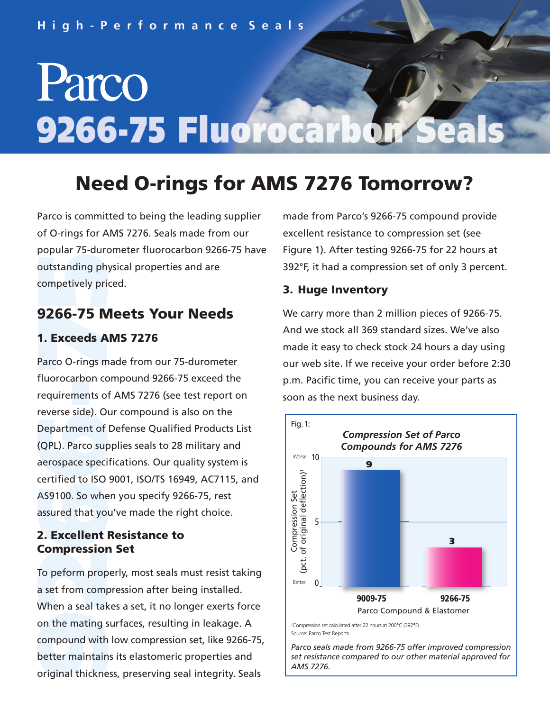# Parco 9266-75 Fluorocarbol

## **Need O-rings for AMS 7276 Tomorrow?**

**outstanding ph**<br>competively pri<br>competively pri Parco is committed to being the leading supplier of O-rings for AMS 7276. Seals made from our popular 75-durometer fluorocarbon 9266-75 have outstanding physical properties and are competively priced.

### **9266-75 Meets Your Needs**

#### **1. Exceeds AMS 7276**

AS9100. So whe<br>assured that yo<br>**2. Excellent Conserverse state): Only Department of (QPL). Parco surface species**  certified to ISO 9001, ISO/TS 16949, AC7115, and **-**requirements of AMS 7276 (see test report on reverse side). Our compound is also on the **7200-73 IV<br>1. Exceeds A**<br>Parco O-rings m Parco O-rings made from our 75-durometer fluorocarbon compound 9266-75 exceed the Department of Defense Qualified Products List (QPL). Parco supplies seals to 28 military and aerospace specifications. Our quality system is AS9100. So when you specify 9266-75, rest assured that you've made the right choice.

#### **Compression Set 2. Excellent Resistance to**

on the mating s<br>compound with<br>better maintain<br>original thickne **2**<br>**2** To peform prop<br>**2** seal take When a seal takes a set, it no longer exerts force To peform properly, most seals must resist taking a set from compression after being installed. on the mating surfaces, resulting in leakage. A compound with low compression set, like 9266-75, better maintains its elastomeric properties and original thickness, preserving seal integrity. Seals

made from Parco's 9266-75 compound provide excellent resistance to compression set (see Figure 1). After testing 9266-75 for 22 hours at 392°F, it had a compression set of only 3 percent.

#### **3. Huge Inventory**

We carry more than 2 million pieces of 9266-75. And we stock all 369 standard sizes. We've also made it easy to check stock 24 hours a day using our web site. If we receive your order before 2:30 p.m. Pacific time, you can receive your parts as soon as the next business day.



*Parco seals made from 9266-75 offer improved compression set resistance compared to our other material approved for AMS 7276.*